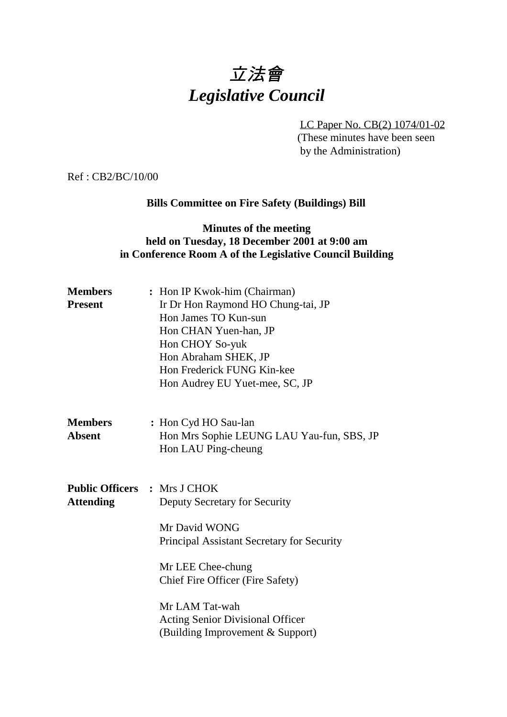## 立法會 *Legislative Council*

LC Paper No. CB(2) 1074/01-02 (These minutes have been seen by the Administration)

Ref : CB2/BC/10/00

## **Bills Committee on Fire Safety (Buildings) Bill**

## **Minutes of the meeting held on Tuesday, 18 December 2001 at 9:00 am in Conference Room A of the Legislative Council Building**

| <b>Members</b><br><b>Present</b>                        | : Hon IP Kwok-him (Chairman)<br>Ir Dr Hon Raymond HO Chung-tai, JP<br>Hon James TO Kun-sun<br>Hon CHAN Yuen-han, JP<br>Hon CHOY So-yuk<br>Hon Abraham SHEK, JP<br>Hon Frederick FUNG Kin-kee<br>Hon Audrey EU Yuet-mee, SC, JP                         |
|---------------------------------------------------------|--------------------------------------------------------------------------------------------------------------------------------------------------------------------------------------------------------------------------------------------------------|
| <b>Members</b><br><b>Absent</b>                         | : Hon Cyd HO Sau-lan<br>Hon Mrs Sophie LEUNG LAU Yau-fun, SBS, JP<br>Hon LAU Ping-cheung                                                                                                                                                               |
| <b>Public Officers : Mrs J CHOK</b><br><b>Attending</b> | Deputy Secretary for Security<br>Mr David WONG<br>Principal Assistant Secretary for Security<br>Mr LEE Chee-chung<br>Chief Fire Officer (Fire Safety)<br>Mr LAM Tat-wah<br><b>Acting Senior Divisional Officer</b><br>(Building Improvement & Support) |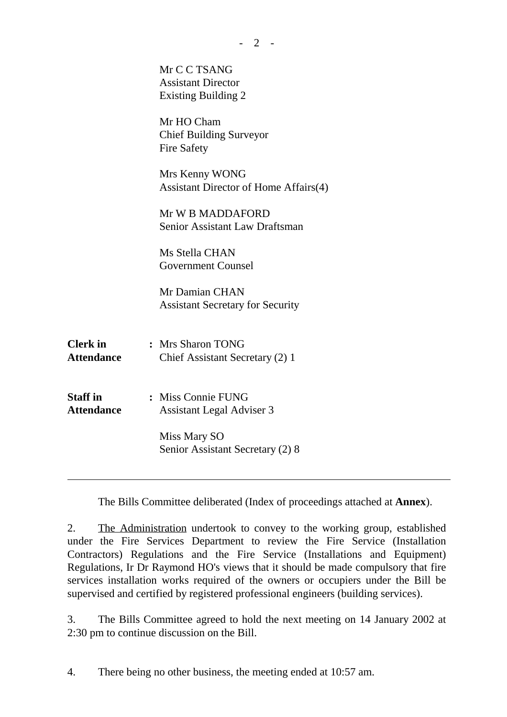|                                      | Mr C C TSANG<br><b>Assistant Director</b><br><b>Existing Building 2</b> |
|--------------------------------------|-------------------------------------------------------------------------|
|                                      | Mr HO Cham<br><b>Chief Building Surveyor</b><br><b>Fire Safety</b>      |
|                                      | Mrs Kenny WONG<br><b>Assistant Director of Home Affairs(4)</b>          |
|                                      | Mr W B MADDAFORD<br>Senior Assistant Law Draftsman                      |
|                                      | Ms Stella CHAN<br><b>Government Counsel</b>                             |
|                                      | Mr Damian CHAN<br><b>Assistant Secretary for Security</b>               |
| <b>Clerk</b> in<br><b>Attendance</b> | : Mrs Sharon TONG<br>Chief Assistant Secretary (2) 1                    |
| <b>Staff</b> in<br><b>Attendance</b> | : Miss Connie FUNG<br><b>Assistant Legal Adviser 3</b>                  |
|                                      | Miss Mary SO<br>Senior Assistant Secretary (2) 8                        |
|                                      |                                                                         |

 $-2 -$ 

The Bills Committee deliberated (Index of proceedings attached at **Annex**).

2. The Administration undertook to convey to the working group, established under the Fire Services Department to review the Fire Service (Installation Contractors) Regulations and the Fire Service (Installations and Equipment) Regulations, Ir Dr Raymond HO's views that it should be made compulsory that fire services installation works required of the owners or occupiers under the Bill be supervised and certified by registered professional engineers (building services).

3. The Bills Committee agreed to hold the next meeting on 14 January 2002 at 2:30 pm to continue discussion on the Bill.

4. There being no other business, the meeting ended at 10:57 am.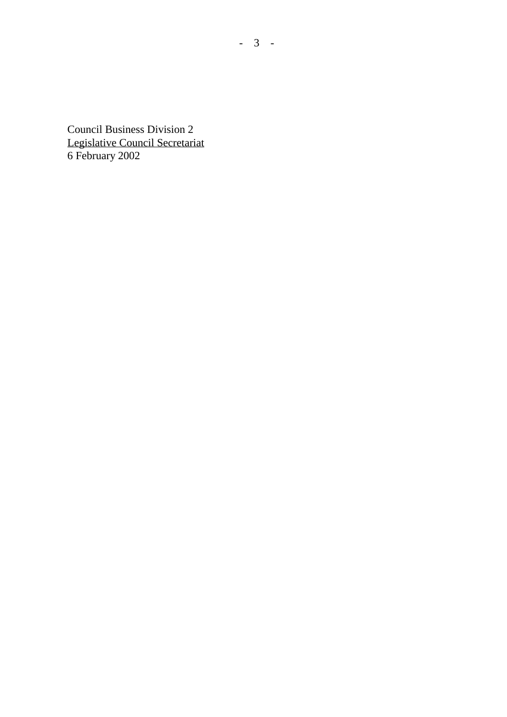Council Business Division 2 Legislative Council Secretariat 6 February 2002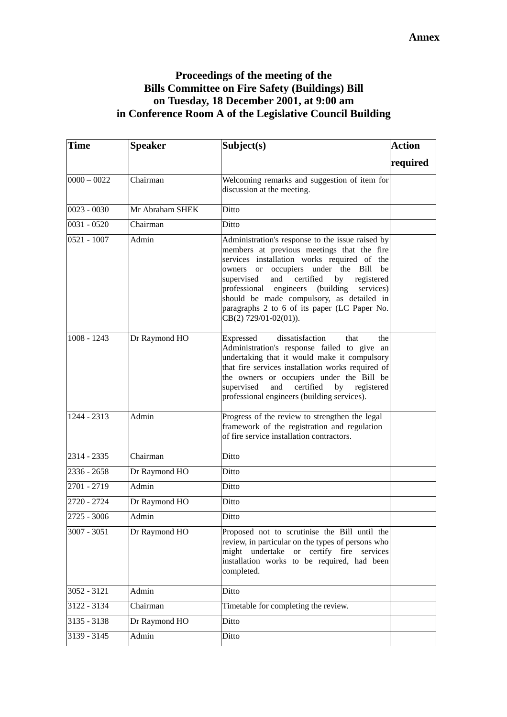## **Proceedings of the meeting of the Bills Committee on Fire Safety (Buildings) Bill on Tuesday, 18 December 2001, at 9:00 am in Conference Room A of the Legislative Council Building**

| <b>Time</b>   | <b>Speaker</b>  | Subject(s)                                                                                                                                                                                                                                                                                                                                                                                                                      | <b>Action</b> |
|---------------|-----------------|---------------------------------------------------------------------------------------------------------------------------------------------------------------------------------------------------------------------------------------------------------------------------------------------------------------------------------------------------------------------------------------------------------------------------------|---------------|
|               |                 |                                                                                                                                                                                                                                                                                                                                                                                                                                 | required      |
| $0000 - 0022$ | Chairman        | Welcoming remarks and suggestion of item for<br>discussion at the meeting.                                                                                                                                                                                                                                                                                                                                                      |               |
| $0023 - 0030$ | Mr Abraham SHEK | Ditto                                                                                                                                                                                                                                                                                                                                                                                                                           |               |
| $0031 - 0520$ | Chairman        | Ditto                                                                                                                                                                                                                                                                                                                                                                                                                           |               |
| $0521 - 1007$ | Admin           | Administration's response to the issue raised by<br>members at previous meetings that the fire<br>services installation works required of the<br>occupiers under the Bill be<br>owners or<br>and<br>certified<br>supervised<br>by<br>registered<br>engineers<br>(building)<br>professional<br>services)<br>should be made compulsory, as detailed in<br>paragraphs 2 to 6 of its paper (LC Paper No.<br>$CB(2)$ 729/01-02(01)). |               |
| $1008 - 1243$ | Dr Raymond HO   | dissatisfaction<br>Expressed<br>that<br>the<br>Administration's response failed to give an<br>undertaking that it would make it compulsory<br>that fire services installation works required of<br>the owners or occupiers under the Bill be<br>supervised<br>certified<br>and<br>by<br>registered<br>professional engineers (building services).                                                                               |               |
| 1244 - 2313   | Admin           | Progress of the review to strengthen the legal<br>framework of the registration and regulation<br>of fire service installation contractors.                                                                                                                                                                                                                                                                                     |               |
| 2314 - 2335   | Chairman        | Ditto                                                                                                                                                                                                                                                                                                                                                                                                                           |               |
| 2336 - 2658   | Dr Raymond HO   | Ditto                                                                                                                                                                                                                                                                                                                                                                                                                           |               |
| 2701 - 2719   | Admin           | Ditto                                                                                                                                                                                                                                                                                                                                                                                                                           |               |
| 2720 - 2724   | Dr Raymond HO   | Ditto                                                                                                                                                                                                                                                                                                                                                                                                                           |               |
| 2725 - 3006   | Admin           | Ditto                                                                                                                                                                                                                                                                                                                                                                                                                           |               |
| $3007 - 3051$ | Dr Raymond HO   | Proposed not to scrutinise the Bill until the<br>review, in particular on the types of persons who<br>might undertake or certify fire services<br>installation works to be required, had been<br>completed.                                                                                                                                                                                                                     |               |
| 3052 - 3121   | Admin           | Ditto                                                                                                                                                                                                                                                                                                                                                                                                                           |               |
| 3122 - 3134   | Chairman        | Timetable for completing the review.                                                                                                                                                                                                                                                                                                                                                                                            |               |
| 3135 - 3138   | Dr Raymond HO   | Ditto                                                                                                                                                                                                                                                                                                                                                                                                                           |               |
| 3139 - 3145   | Admin           | Ditto                                                                                                                                                                                                                                                                                                                                                                                                                           |               |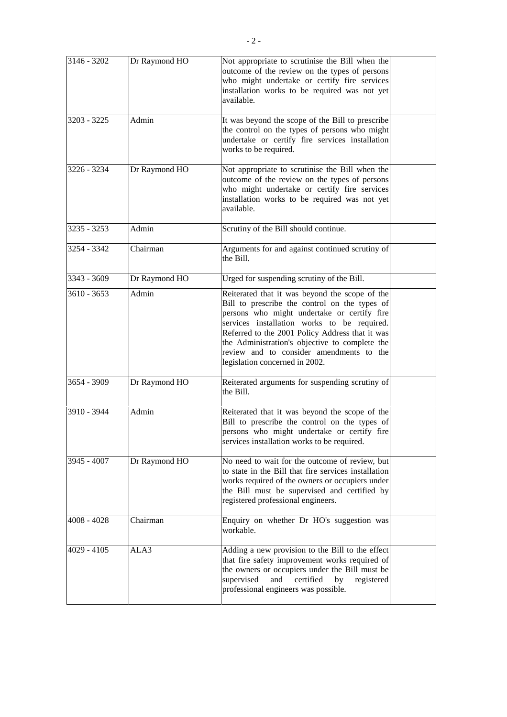| 3146 - 3202   | Dr Raymond HO | Not appropriate to scrutinise the Bill when the<br>outcome of the review on the types of persons<br>who might undertake or certify fire services<br>installation works to be required was not yet<br>available.                                                                                                                                                                  |  |
|---------------|---------------|----------------------------------------------------------------------------------------------------------------------------------------------------------------------------------------------------------------------------------------------------------------------------------------------------------------------------------------------------------------------------------|--|
| 3203 - 3225   | Admin         | It was beyond the scope of the Bill to prescribe<br>the control on the types of persons who might<br>undertake or certify fire services installation<br>works to be required.                                                                                                                                                                                                    |  |
| 3226 - 3234   | Dr Raymond HO | Not appropriate to scrutinise the Bill when the<br>outcome of the review on the types of persons<br>who might undertake or certify fire services<br>installation works to be required was not yet<br>available.                                                                                                                                                                  |  |
| 3235 - 3253   | Admin         | Scrutiny of the Bill should continue.                                                                                                                                                                                                                                                                                                                                            |  |
| 3254 - 3342   | Chairman      | Arguments for and against continued scrutiny of<br>the Bill.                                                                                                                                                                                                                                                                                                                     |  |
| $3343 - 3609$ | Dr Raymond HO | Urged for suspending scrutiny of the Bill.                                                                                                                                                                                                                                                                                                                                       |  |
| $3610 - 3653$ | Admin         | Reiterated that it was beyond the scope of the<br>Bill to prescribe the control on the types of<br>persons who might undertake or certify fire<br>services installation works to be required.<br>Referred to the 2001 Policy Address that it was<br>the Administration's objective to complete the<br>review and to consider amendments to the<br>legislation concerned in 2002. |  |
| 3654 - 3909   | Dr Raymond HO | Reiterated arguments for suspending scrutiny of<br>the Bill.                                                                                                                                                                                                                                                                                                                     |  |
| 3910 - 3944   | Admin         | Reiterated that it was beyond the scope of the<br>Bill to prescribe the control on the types of<br>persons who might undertake or certify fire<br>services installation works to be required.                                                                                                                                                                                    |  |
| 3945 - 4007   | Dr Raymond HO | No need to wait for the outcome of review, but<br>to state in the Bill that fire services installation<br>works required of the owners or occupiers under<br>the Bill must be supervised and certified by<br>registered professional engineers.                                                                                                                                  |  |
| $4008 - 4028$ | Chairman      | Enquiry on whether Dr HO's suggestion was<br>workable.                                                                                                                                                                                                                                                                                                                           |  |
| $4029 - 4105$ | ALA3          | Adding a new provision to the Bill to the effect<br>that fire safety improvement works required of<br>the owners or occupiers under the Bill must be<br>supervised<br>and<br>certified<br>by<br>registered<br>professional engineers was possible.                                                                                                                               |  |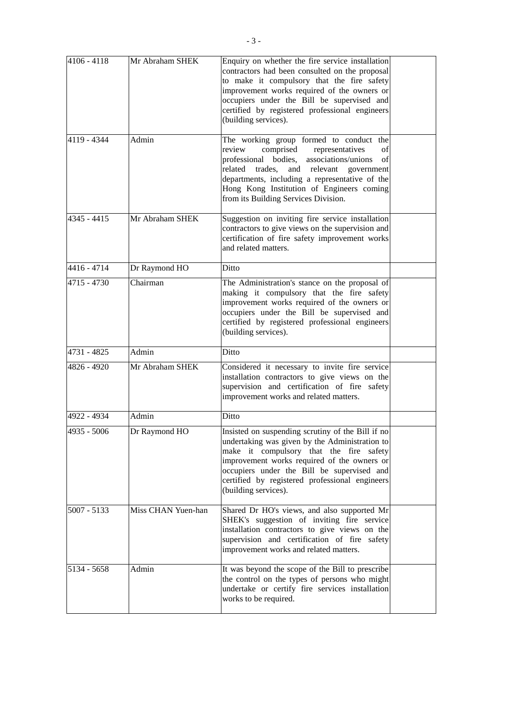| 4106 - 4118   | Mr Abraham SHEK    | Enquiry on whether the fire service installation<br>contractors had been consulted on the proposal<br>to make it compulsory that the fire safety<br>improvement works required of the owners or<br>occupiers under the Bill be supervised and<br>certified by registered professional engineers<br>(building services).           |  |
|---------------|--------------------|-----------------------------------------------------------------------------------------------------------------------------------------------------------------------------------------------------------------------------------------------------------------------------------------------------------------------------------|--|
| 4119 - 4344   | Admin              | The working group formed to conduct the<br>review<br>comprised<br>representatives<br>οf<br>professional bodies,<br>associations/unions<br>of<br>related trades,<br>and relevant government<br>departments, including a representative of the<br>Hong Kong Institution of Engineers coming<br>from its Building Services Division. |  |
| 4345 - 4415   | Mr Abraham SHEK    | Suggestion on inviting fire service installation<br>contractors to give views on the supervision and<br>certification of fire safety improvement works<br>and related matters.                                                                                                                                                    |  |
| 4416 - 4714   | Dr Raymond HO      | Ditto                                                                                                                                                                                                                                                                                                                             |  |
| 4715 - 4730   | Chairman           | The Administration's stance on the proposal of<br>making it compulsory that the fire safety<br>improvement works required of the owners or<br>occupiers under the Bill be supervised and<br>certified by registered professional engineers<br>(building services).                                                                |  |
| 4731 - 4825   | Admin              | Ditto                                                                                                                                                                                                                                                                                                                             |  |
| 4826 - 4920   | Mr Abraham SHEK    | Considered it necessary to invite fire service<br>installation contractors to give views on the<br>supervision and certification of fire safety<br>improvement works and related matters.                                                                                                                                         |  |
| 4922 - 4934   | Admin              | Ditto                                                                                                                                                                                                                                                                                                                             |  |
| 4935 - 5006   | Dr Raymond HO      | Insisted on suspending scrutiny of the Bill if no<br>undertaking was given by the Administration to<br>make it compulsory that the fire safety<br>improvement works required of the owners or<br>occupiers under the Bill be supervised and<br>certified by registered professional engineers<br>(building services).             |  |
| $5007 - 5133$ | Miss CHAN Yuen-han | Shared Dr HO's views, and also supported Mr<br>SHEK's suggestion of inviting fire service<br>installation contractors to give views on the<br>supervision and certification of fire safety<br>improvement works and related matters.                                                                                              |  |
| 5134 - 5658   | Admin              | It was beyond the scope of the Bill to prescribe<br>the control on the types of persons who might<br>undertake or certify fire services installation<br>works to be required.                                                                                                                                                     |  |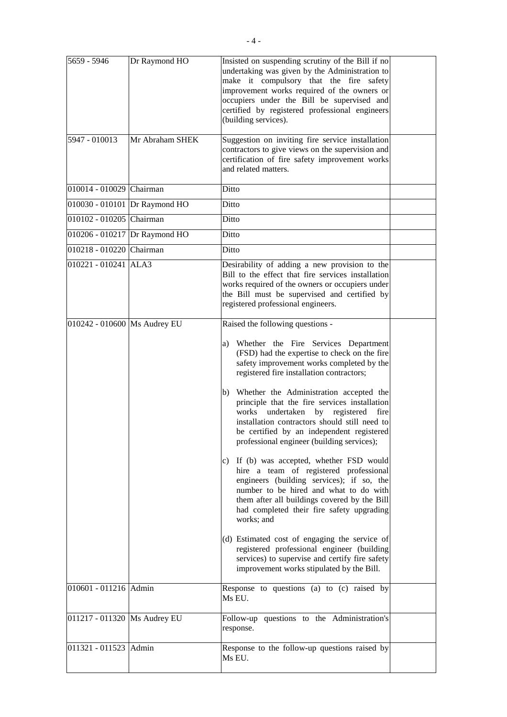| 5659 - 5946                    | Dr Raymond HO   | Insisted on suspending scrutiny of the Bill if no<br>undertaking was given by the Administration to<br>make it compulsory that the fire safety<br>improvement works required of the owners or<br>occupiers under the Bill be supervised and<br>certified by registered professional engineers<br>(building services).                                                                                                                                                                |  |
|--------------------------------|-----------------|--------------------------------------------------------------------------------------------------------------------------------------------------------------------------------------------------------------------------------------------------------------------------------------------------------------------------------------------------------------------------------------------------------------------------------------------------------------------------------------|--|
| 5947 - 010013                  | Mr Abraham SHEK | Suggestion on inviting fire service installation<br>contractors to give views on the supervision and<br>certification of fire safety improvement works<br>and related matters.                                                                                                                                                                                                                                                                                                       |  |
| 010014 - 010029 Chairman       |                 | Ditto                                                                                                                                                                                                                                                                                                                                                                                                                                                                                |  |
| 010030 - 010101 Dr Raymond HO  |                 | Ditto                                                                                                                                                                                                                                                                                                                                                                                                                                                                                |  |
| 010102 - 010205 Chairman       |                 | Ditto                                                                                                                                                                                                                                                                                                                                                                                                                                                                                |  |
| 010206 - 010217 Dr Raymond HO  |                 | Ditto                                                                                                                                                                                                                                                                                                                                                                                                                                                                                |  |
| 010218 - 010220 Chairman       |                 | Ditto                                                                                                                                                                                                                                                                                                                                                                                                                                                                                |  |
| 010221 - 010241 ALA3           |                 | Desirability of adding a new provision to the<br>Bill to the effect that fire services installation<br>works required of the owners or occupiers under<br>the Bill must be supervised and certified by<br>registered professional engineers.                                                                                                                                                                                                                                         |  |
| 010242 - 010600 Ms Audrey EU   |                 | Raised the following questions -<br>Whether the Fire Services Department<br>a)<br>(FSD) had the expertise to check on the fire<br>safety improvement works completed by the<br>registered fire installation contractors;<br>Whether the Administration accepted the<br>b)<br>principle that the fire services installation                                                                                                                                                           |  |
|                                |                 | works<br>undertaken<br>by registered<br>fire<br>installation contractors should still need to<br>be certified by an independent registered<br>professional engineer (building services);<br>If (b) was accepted, whether FSD would<br>C)<br>hire a team of registered professional<br>engineers (building services); if so, the<br>number to be hired and what to do with<br>them after all buildings covered by the Bill<br>had completed their fire safety upgrading<br>works; and |  |
|                                |                 | (d) Estimated cost of engaging the service of<br>registered professional engineer (building<br>services) to supervise and certify fire safety<br>improvement works stipulated by the Bill.                                                                                                                                                                                                                                                                                           |  |
| 010601 - 011216 Admin          |                 | Response to questions (a) to (c) raised by<br>Ms EU.                                                                                                                                                                                                                                                                                                                                                                                                                                 |  |
| 011217 - 011320   Ms Audrey EU |                 | Follow-up questions to the Administration's<br>response.                                                                                                                                                                                                                                                                                                                                                                                                                             |  |
| 011321 - 011523 Admin          |                 | Response to the follow-up questions raised by<br>Ms EU.                                                                                                                                                                                                                                                                                                                                                                                                                              |  |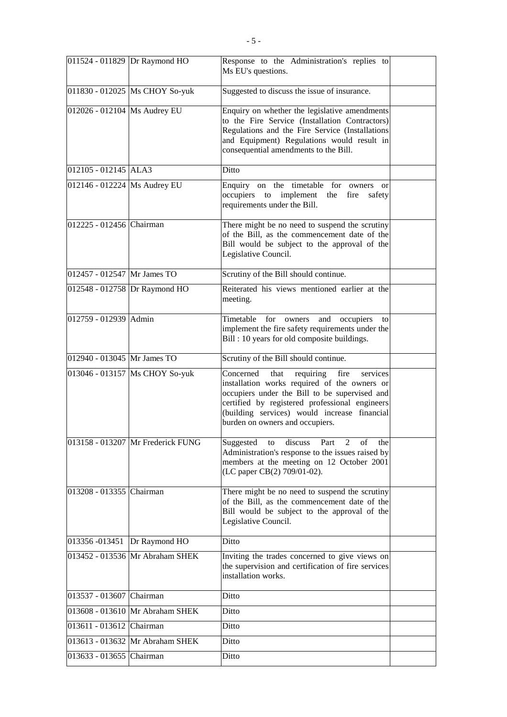| 011524 - 011829   Dr Raymond HO |                                   | Response to the Administration's replies to<br>Ms EU's questions.                                                                                                                                                                                                                        |  |
|---------------------------------|-----------------------------------|------------------------------------------------------------------------------------------------------------------------------------------------------------------------------------------------------------------------------------------------------------------------------------------|--|
|                                 | 011830 - 012025   Ms CHOY So-yuk  | Suggested to discuss the issue of insurance.                                                                                                                                                                                                                                             |  |
| 012026 - 012104   Ms Audrey EU  |                                   | Enquiry on whether the legislative amendments<br>to the Fire Service (Installation Contractors)<br>Regulations and the Fire Service (Installations<br>and Equipment) Regulations would result in<br>consequential amendments to the Bill.                                                |  |
| $012105 - 012145$ ALA3          |                                   | Ditto                                                                                                                                                                                                                                                                                    |  |
| 012146 - 012224 Ms Audrey EU    |                                   | Enquiry on the timetable for owners<br><sub>or</sub><br>occupiers to implement the<br>fire<br>safety<br>requirements under the Bill.                                                                                                                                                     |  |
| 012225 - 012456 Chairman        |                                   | There might be no need to suspend the scrutiny<br>of the Bill, as the commencement date of the<br>Bill would be subject to the approval of the<br>Legislative Council.                                                                                                                   |  |
| 012457 - 012547 Mr James TO     |                                   | Scrutiny of the Bill should continue.                                                                                                                                                                                                                                                    |  |
| 012548 - 012758 Dr Raymond HO   |                                   | Reiterated his views mentioned earlier at the<br>meeting.                                                                                                                                                                                                                                |  |
| 012759 - 012939 Admin           |                                   | Timetable for owners<br>and occupiers<br>to<br>implement the fire safety requirements under the<br>Bill : 10 years for old composite buildings.                                                                                                                                          |  |
| 012940 - 013045 Mr James TO     |                                   | Scrutiny of the Bill should continue.                                                                                                                                                                                                                                                    |  |
|                                 | 013046 - 013157   Ms CHOY So-yuk  | fire<br>Concerned<br>that<br>requiring<br>services<br>installation works required of the owners or<br>occupiers under the Bill to be supervised and<br>certified by registered professional engineers<br>(building services) would increase financial<br>burden on owners and occupiers. |  |
|                                 | 013158 - 013207 Mr Frederick FUNG | discuss<br>Suggested<br>to<br>Part<br>2<br>of<br>the<br>Administration's response to the issues raised by<br>members at the meeting on 12 October 2001<br>(LC paper CB(2) 709/01-02).                                                                                                    |  |
| 013208 - 013355 Chairman        |                                   | There might be no need to suspend the scrutiny<br>of the Bill, as the commencement date of the<br>Bill would be subject to the approval of the<br>Legislative Council.                                                                                                                   |  |
| 013356 -013451                  | Dr Raymond HO                     | Ditto                                                                                                                                                                                                                                                                                    |  |
|                                 | 013452 - 013536 Mr Abraham SHEK   | Inviting the trades concerned to give views on<br>the supervision and certification of fire services<br>installation works.                                                                                                                                                              |  |
| 013537 - 013607 Chairman        |                                   | Ditto                                                                                                                                                                                                                                                                                    |  |
|                                 | 013608 - 013610 Mr Abraham SHEK   | Ditto                                                                                                                                                                                                                                                                                    |  |
| 013611 - 013612 Chairman        |                                   | Ditto                                                                                                                                                                                                                                                                                    |  |
|                                 | 013613 - 013632 Mr Abraham SHEK   | Ditto                                                                                                                                                                                                                                                                                    |  |
| 013633 - 013655 Chairman        |                                   | Ditto                                                                                                                                                                                                                                                                                    |  |